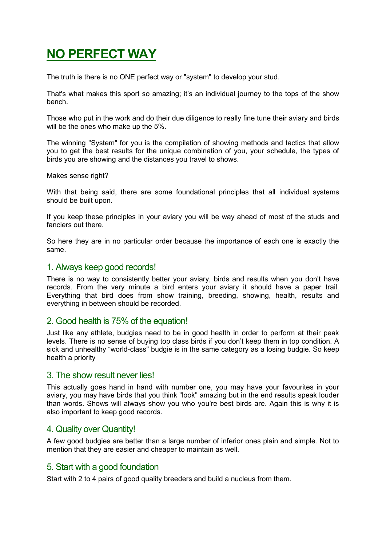# **NO PERFECT WAY**

The truth is there is no ONE perfect way or "system" to develop your stud.

That's what makes this sport so amazing; it's an individual journey to the tops of the show bench.

Those who put in the work and do their due diligence to really fine tune their aviary and birds will be the ones who make up the 5%.

The winning "System" for you is the compilation of showing methods and tactics that allow you to get the best results for the unique combination of you, your schedule, the types of birds you are showing and the distances you travel to shows.

Makes sense right?

With that being said, there are some foundational principles that all individual systems should be built upon.

If you keep these principles in your aviary you will be way ahead of most of the studs and fanciers out there.

So here they are in no particular order because the importance of each one is exactly the same.

#### 1. Always keep good records!

There is no way to consistently better your aviary, birds and results when you don't have records. From the very minute a bird enters your aviary it should have a paper trail. Everything that bird does from show training, breeding, showing, health, results and everything in between should be recorded.

## 2. Good health is 75% of the equation!

Just like any athlete, budgies need to be in good health in order to perform at their peak levels. There is no sense of buying top class birds if you don't keep them in top condition. A sick and unhealthy "world-class" budgie is in the same category as a losing budgie. So keep health a priority

#### 3. The show result never lies!

This actually goes hand in hand with number one, you may have your favourites in your aviary, you may have birds that you think "look" amazing but in the end results speak louder than words. Shows will always show you who you're best birds are. Again this is why it is also important to keep good records.

#### 4. Quality over Quantity!

A few good budgies are better than a large number of inferior ones plain and simple. Not to mention that they are easier and cheaper to maintain as well.

#### 5. Start with a good foundation

Start with 2 to 4 pairs of good quality breeders and build a nucleus from them.